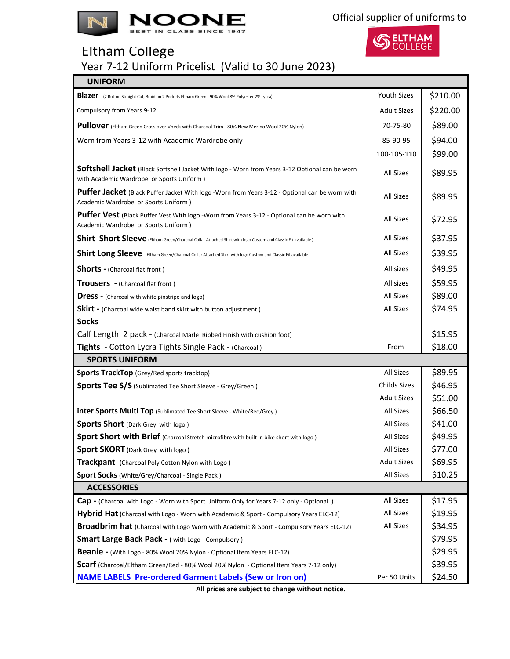



## Eltham College

Year 7-12 Uniform Pricelist (Valid to 30 June 2023)

| <b>UNIFORM</b>                                                                                                                                     |                    |          |
|----------------------------------------------------------------------------------------------------------------------------------------------------|--------------------|----------|
| Blazer (2 Button Straight Cut, Braid on 2 Pockets Eltham Green - 90% Wool 8% Polyester 2% Lycra)                                                   | <b>Youth Sizes</b> | \$210.00 |
| Compulsory from Years 9-12                                                                                                                         | <b>Adult Sizes</b> | \$220.00 |
| Pullover (Eltham Green Cross over Vneck with Charcoal Trim - 80% New Merino Wool 20% Nylon)                                                        | 70-75-80           | \$89.00  |
| Worn from Years 3-12 with Academic Wardrobe only                                                                                                   | 85-90-95           | \$94.00  |
|                                                                                                                                                    | 100-105-110        | \$99.00  |
| <b>Softshell Jacket</b> (Black Softshell Jacket With logo - Worn from Years 3-12 Optional can be worn<br>with Academic Wardrobe or Sports Uniform) | <b>All Sizes</b>   | \$89.95  |
| Puffer Jacket (Black Puffer Jacket With logo -Worn from Years 3-12 - Optional can be worn with<br>Academic Wardrobe or Sports Uniform)             | <b>All Sizes</b>   | \$89.95  |
| Puffer Vest (Black Puffer Vest With logo -Worn from Years 3-12 - Optional can be worn with<br>Academic Wardrobe or Sports Uniform)                 | <b>All Sizes</b>   | \$72.95  |
| Shirt Short Sleeve (Eltham Green/Charcoal Collar Attached Shirt with logo Custom and Classic Fit available)                                        | All Sizes          | \$37.95  |
| Shirt Long Sleeve (Eltham Green/Charcoal Collar Attached Shirt with logo Custom and Classic Fit available)                                         | All Sizes          | \$39.95  |
| <b>Shorts - (Charcoal flat front)</b>                                                                                                              | All sizes          | \$49.95  |
| Trousers - (Charcoal flat front)                                                                                                                   | All sizes          | \$59.95  |
| <b>Dress</b> - (Charcoal with white pinstripe and logo)                                                                                            | <b>All Sizes</b>   | \$89.00  |
| <b>Skirt</b> - (Charcoal wide waist band skirt with button adjustment)                                                                             | <b>All Sizes</b>   | \$74.95  |
| <b>Socks</b>                                                                                                                                       |                    |          |
| Calf Length 2 pack - (Charcoal Marle Ribbed Finish with cushion foot)                                                                              |                    | \$15.95  |
| Tights - Cotton Lycra Tights Single Pack - (Charcoal)                                                                                              | From               | \$18.00  |
| <b>SPORTS UNIFORM</b>                                                                                                                              |                    |          |
| <b>Sports TrackTop</b> (Grey/Red sports tracktop)                                                                                                  | <b>All Sizes</b>   | \$89.95  |
| <b>Sports Tee S/S</b> (Sublimated Tee Short Sleeve - Grey/Green)                                                                                   | Childs Sizes       | \$46.95  |
|                                                                                                                                                    | <b>Adult Sizes</b> | \$51.00  |
| <b>inter Sports Multi Top</b> (Sublimated Tee Short Sleeve - White/Red/Grey)                                                                       | <b>All Sizes</b>   | \$66.50  |
| <b>Sports Short</b> (Dark Grey with logo)                                                                                                          | All Sizes          | \$41.00  |
| Sport Short with Brief (Charcoal Stretch microfibre with built in bike short with logo)                                                            | <b>All Sizes</b>   | \$49.95  |
| <b>Sport SKORT</b> (Dark Grey with logo)                                                                                                           | All Sizes          | \$77.00  |
| <b>Trackpant</b> (Charcoal Poly Cotton Nylon with Logo)                                                                                            | <b>Adult Sizes</b> | \$69.95  |
| <b>Sport Socks</b> (White/Grey/Charcoal - Single Pack)                                                                                             | All Sizes          | \$10.25  |
| <b>ACCESSORIES</b>                                                                                                                                 |                    |          |
| <b>Cap -</b> (Charcoal with Logo - Worn with Sport Uniform Only for Years 7-12 only - Optional)                                                    | All Sizes          | \$17.95  |
| Hybrid Hat (Charcoal with Logo - Worn with Academic & Sport - Compulsory Years ELC-12)                                                             | All Sizes          | \$19.95  |
| <b>Broadbrim hat</b> (Charcoal with Logo Worn with Academic & Sport - Compulsory Years ELC-12)                                                     | All Sizes          | \$34.95  |
| <b>Smart Large Back Pack - (with Logo - Compulsory)</b>                                                                                            |                    | \$79.95  |
| <b>Beanie -</b> (With Logo - 80% Wool 20% Nylon - Optional Item Years ELC-12)                                                                      |                    | \$29.95  |
| Scarf (Charcoal/Eltham Green/Red - 80% Wool 20% Nylon - Optional Item Years 7-12 only)                                                             |                    | \$39.95  |
| <b>NAME LABELS Pre-ordered Garment Labels (Sew or Iron on)</b>                                                                                     | Per 50 Units       | \$24.50  |

**All prices are subject to change without notice.**